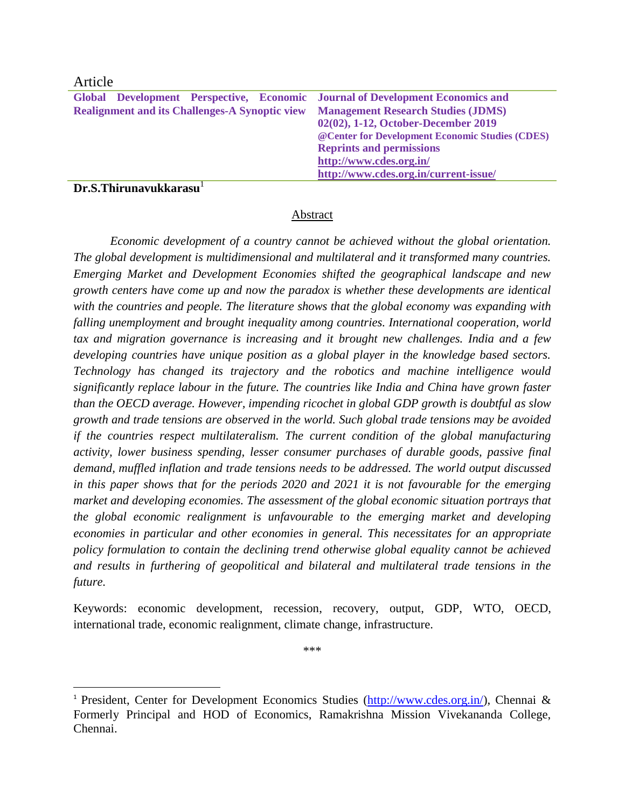## Article

 $\overline{\phantom{a}}$ 

|                                                        | Global Development Perspective, Economic Journal of Development Economics and |
|--------------------------------------------------------|-------------------------------------------------------------------------------|
| <b>Realignment and its Challenges-A Synoptic view</b>  | <b>Management Research Studies (JDMS)</b>                                     |
|                                                        | 02(02), 1-12, October-December 2019                                           |
|                                                        | @ Center for Development Economic Studies (CDES)                              |
|                                                        | <b>Reprints and permissions</b>                                               |
|                                                        | http://www.cdes.org.in/                                                       |
|                                                        | http://www.cdes.org.in/current-issue/                                         |
| $\mathbf{r}$ $\alpha$ $\mathbf{r}$ $\mathbf{r}$<br>. . |                                                                               |

**Dr.S.Thirunavukkarasu** 

## Abstract

*Economic development of a country cannot be achieved without the global orientation. The global development is multidimensional and multilateral and it transformed many countries. Emerging Market and Development Economies shifted the geographical landscape and new growth centers have come up and now the paradox is whether these developments are identical with the countries and people. The literature shows that the global economy was expanding with falling unemployment and brought inequality among countries. International cooperation, world tax and migration governance is increasing and it brought new challenges. India and a few developing countries have unique position as a global player in the knowledge based sectors. Technology has changed its trajectory and the robotics and machine intelligence would significantly replace labour in the future. The countries like India and China have grown faster than the OECD average. However, impending ricochet in global GDP growth is doubtful as slow growth and trade tensions are observed in the world. Such global trade tensions may be avoided if the countries respect multilateralism. The current condition of the global manufacturing activity, lower business spending, lesser consumer purchases of durable goods, passive final demand, muffled inflation and trade tensions needs to be addressed. The world output discussed in this paper shows that for the periods 2020 and 2021 it is not favourable for the emerging market and developing economies. The assessment of the global economic situation portrays that the global economic realignment is unfavourable to the emerging market and developing economies in particular and other economies in general. This necessitates for an appropriate policy formulation to contain the declining trend otherwise global equality cannot be achieved and results in furthering of geopolitical and bilateral and multilateral trade tensions in the future.*

Keywords: economic development, recession, recovery, output, GDP, WTO, OECD, international trade, economic realignment, climate change, infrastructure.

\*\*\*

<sup>&</sup>lt;sup>1</sup> President, Center for Development Economics Studies [\(http://www.cdes.org.in/\)](http://www.cdes.org.in/), Chennai & Formerly Principal and HOD of Economics, Ramakrishna Mission Vivekananda College, Chennai.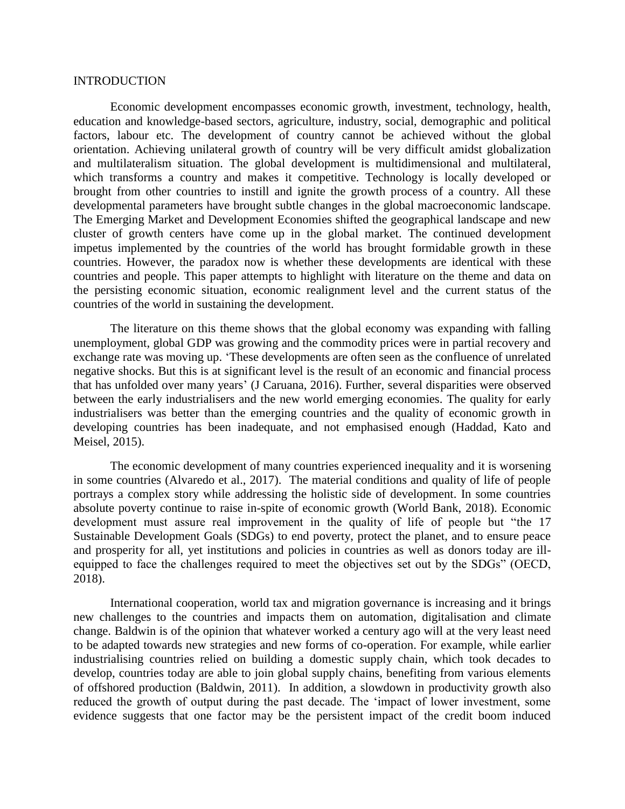## INTRODUCTION

Economic development encompasses economic growth, investment, technology, health, education and knowledge-based sectors, agriculture, industry, social, demographic and political factors, labour etc. The development of country cannot be achieved without the global orientation. Achieving unilateral growth of country will be very difficult amidst globalization and multilateralism situation. The global development is multidimensional and multilateral, which transforms a country and makes it competitive. Technology is locally developed or brought from other countries to instill and ignite the growth process of a country. All these developmental parameters have brought subtle changes in the global macroeconomic landscape. The Emerging Market and Development Economies shifted the geographical landscape and new cluster of growth centers have come up in the global market. The continued development impetus implemented by the countries of the world has brought formidable growth in these countries. However, the paradox now is whether these developments are identical with these countries and people. This paper attempts to highlight with literature on the theme and data on the persisting economic situation, economic realignment level and the current status of the countries of the world in sustaining the development.

The literature on this theme shows that the global economy was expanding with falling unemployment, global GDP was growing and the commodity prices were in partial recovery and exchange rate was moving up. 'These developments are often seen as the confluence of unrelated negative shocks. But this is at significant level is the result of an economic and financial process that has unfolded over many years' (J Caruana, 2016). Further, several disparities were observed between the early industrialisers and the new world emerging economies. The quality for early industrialisers was better than the emerging countries and the quality of economic growth in developing countries has been inadequate, and not emphasised enough (Haddad, Kato and Meisel, 2015).

The economic development of many countries experienced inequality and it is worsening in some countries (Alvaredo et al., 2017). The material conditions and quality of life of people portrays a complex story while addressing the holistic side of development. In some countries absolute poverty continue to raise in-spite of economic growth (World Bank, 2018). Economic development must assure real improvement in the quality of life of people but "the 17 Sustainable Development Goals (SDGs) to end poverty, protect the planet, and to ensure peace and prosperity for all, yet institutions and policies in countries as well as donors today are illequipped to face the challenges required to meet the objectives set out by the SDGs" (OECD, 2018).

International cooperation, world tax and migration governance is increasing and it brings new challenges to the countries and impacts them on automation, digitalisation and climate change. Baldwin is of the opinion that whatever worked a century ago will at the very least need to be adapted towards new strategies and new forms of co-operation. For example, while earlier industrialising countries relied on building a domestic supply chain, which took decades to develop, countries today are able to join global supply chains, benefiting from various elements of offshored production (Baldwin, 2011). In addition, a slowdown in productivity growth also reduced the growth of output during the past decade. The 'impact of lower investment, some evidence suggests that one factor may be the persistent impact of the credit boom induced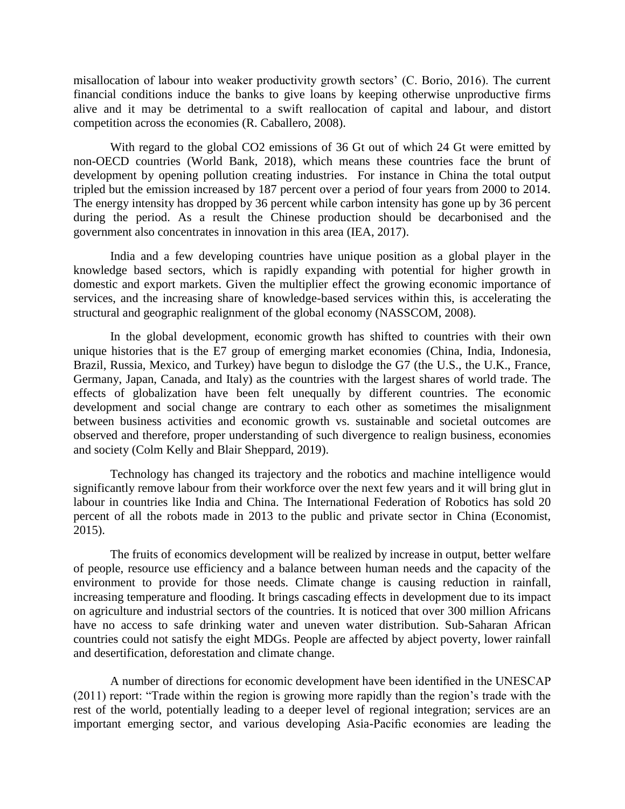misallocation of labour into weaker productivity growth sectors' (C. Borio, 2016). The current financial conditions induce the banks to give loans by keeping otherwise unproductive firms alive and it may be detrimental to a swift reallocation of capital and labour, and distort competition across the economies (R. Caballero, 2008).

With regard to the global CO2 emissions of 36 Gt out of which 24 Gt were emitted by non-OECD countries (World Bank, 2018), which means these countries face the brunt of development by opening pollution creating industries. For instance in China the total output tripled but the emission increased by 187 percent over a period of four years from 2000 to 2014. The energy intensity has dropped by 36 percent while carbon intensity has gone up by 36 percent during the period. As a result the Chinese production should be decarbonised and the government also concentrates in innovation in this area (IEA, 2017).

India and a few developing countries have unique position as a global player in the knowledge based sectors, which is rapidly expanding with potential for higher growth in domestic and export markets. Given the multiplier effect the growing economic importance of services, and the increasing share of knowledge-based services within this, is accelerating the structural and geographic realignment of the global economy (NASSCOM, 2008).

In the global development, economic growth has shifted to countries with their own unique histories that is the E7 group of emerging market economies (China, India, Indonesia, Brazil, Russia, Mexico, and Turkey) have begun to dislodge the G7 (the U.S., the U.K., France, Germany, Japan, Canada, and Italy) as the countries with the largest shares of world trade. The effects of globalization have been felt unequally by different countries. The economic development and social change are contrary to each other as sometimes the misalignment between business activities and economic growth vs. sustainable and societal outcomes are observed and therefore, proper understanding of such divergence to realign business, economies and society (Colm Kelly and Blair Sheppard, 2019).

Technology has changed its trajectory and the robotics and machine intelligence would significantly remove labour from their workforce over the next few years and it will bring glut in labour in countries like India and China. The International Federation of Robotics has sold 20 percent of all the robots made in 2013 to the public and private sector in China (Economist, 2015).

The fruits of economics development will be realized by increase in output, better welfare of people, resource use efficiency and a balance between human needs and the capacity of the environment to provide for those needs. Climate change is causing reduction in rainfall, increasing temperature and flooding. It brings cascading effects in development due to its impact on agriculture and industrial sectors of the countries. It is noticed that over 300 million Africans have no access to safe drinking water and uneven water distribution. Sub-Saharan African countries could not satisfy the eight MDGs. People are affected by abject poverty, lower rainfall and desertification, deforestation and climate change.

A number of directions for economic development have been identified in the UNESCAP (2011) report: "Trade within the region is growing more rapidly than the region's trade with the rest of the world, potentially leading to a deeper level of regional integration; services are an important emerging sector, and various developing Asia-Pacific economies are leading the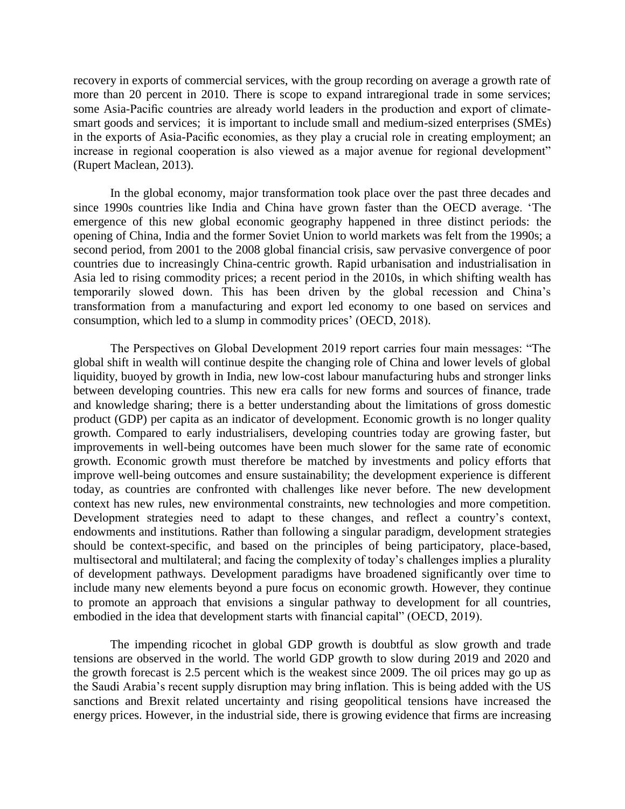recovery in exports of commercial services, with the group recording on average a growth rate of more than 20 percent in 2010. There is scope to expand intraregional trade in some services; some Asia-Pacific countries are already world leaders in the production and export of climatesmart goods and services; it is important to include small and medium-sized enterprises (SMEs) in the exports of Asia-Pacific economies, as they play a crucial role in creating employment; an increase in regional cooperation is also viewed as a major avenue for regional development" (Rupert Maclean, 2013).

In the global economy, major transformation took place over the past three decades and since 1990s countries like India and China have grown faster than the OECD average. 'The emergence of this new global economic geography happened in three distinct periods: the opening of China, India and the former Soviet Union to world markets was felt from the 1990s; a second period, from 2001 to the 2008 global financial crisis, saw pervasive convergence of poor countries due to increasingly China-centric growth. Rapid urbanisation and industrialisation in Asia led to rising commodity prices; a recent period in the 2010s, in which shifting wealth has temporarily slowed down. This has been driven by the global recession and China's transformation from a manufacturing and export led economy to one based on services and consumption, which led to a slump in commodity prices' (OECD, 2018).

The Perspectives on Global Development 2019 report carries four main messages: "The global shift in wealth will continue despite the changing role of China and lower levels of global liquidity, buoyed by growth in India, new low-cost labour manufacturing hubs and stronger links between developing countries. This new era calls for new forms and sources of finance, trade and knowledge sharing; there is a better understanding about the limitations of gross domestic product (GDP) per capita as an indicator of development. Economic growth is no longer quality growth. Compared to early industrialisers, developing countries today are growing faster, but improvements in well-being outcomes have been much slower for the same rate of economic growth. Economic growth must therefore be matched by investments and policy efforts that improve well-being outcomes and ensure sustainability; the development experience is different today, as countries are confronted with challenges like never before. The new development context has new rules, new environmental constraints, new technologies and more competition. Development strategies need to adapt to these changes, and reflect a country's context, endowments and institutions. Rather than following a singular paradigm, development strategies should be context-specific, and based on the principles of being participatory, place-based, multisectoral and multilateral; and facing the complexity of today's challenges implies a plurality of development pathways. Development paradigms have broadened significantly over time to include many new elements beyond a pure focus on economic growth. However, they continue to promote an approach that envisions a singular pathway to development for all countries, embodied in the idea that development starts with financial capital" (OECD, 2019).

The impending ricochet in global GDP growth is doubtful as slow growth and trade tensions are observed in the world. The world GDP growth to slow during 2019 and 2020 and the growth forecast is 2.5 percent which is the weakest since 2009. The oil prices may go up as the Saudi Arabia's recent supply disruption may bring inflation. This is being added with the US sanctions and Brexit related uncertainty and rising geopolitical tensions have increased the energy prices. However, in the industrial side, there is growing evidence that firms are increasing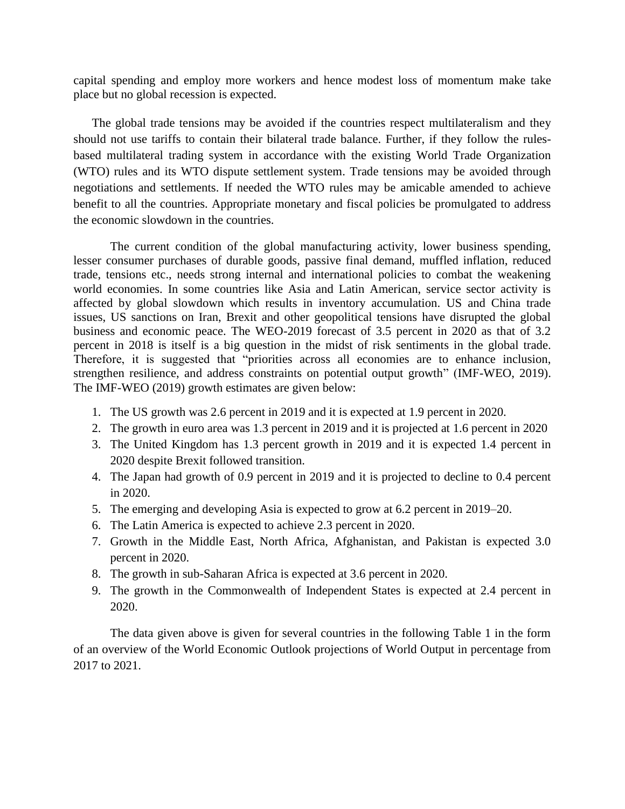capital spending and employ more workers and hence modest loss of momentum make take place but no global recession is expected.

The global trade tensions may be avoided if the countries respect multilateralism and they should not use tariffs to contain their bilateral trade balance. Further, if they follow the rulesbased multilateral trading system in accordance with the existing World Trade Organization (WTO) rules and its WTO dispute settlement system. Trade tensions may be avoided through negotiations and settlements. If needed the WTO rules may be amicable amended to achieve benefit to all the countries. Appropriate monetary and fiscal policies be promulgated to address the economic slowdown in the countries.

The current condition of the global manufacturing activity, lower business spending, lesser consumer purchases of durable goods, passive final demand, muffled inflation, reduced trade, tensions etc., needs strong internal and international policies to combat the weakening world economies. In some countries like Asia and Latin American, service sector activity is affected by global slowdown which results in inventory accumulation. US and China trade issues, US sanctions on Iran, Brexit and other geopolitical tensions have disrupted the global business and economic peace. The WEO-2019 forecast of 3.5 percent in 2020 as that of 3.2 percent in 2018 is itself is a big question in the midst of risk sentiments in the global trade. Therefore, it is suggested that "priorities across all economies are to enhance inclusion, strengthen resilience, and address constraints on potential output growth" (IMF-WEO, 2019). The IMF-WEO (2019) growth estimates are given below:

- 1. The US growth was 2.6 percent in 2019 and it is expected at 1.9 percent in 2020.
- 2. The growth in euro area was 1.3 percent in 2019 and it is projected at 1.6 percent in 2020
- 3. The United Kingdom has 1.3 percent growth in 2019 and it is expected 1.4 percent in 2020 despite Brexit followed transition.
- 4. The Japan had growth of 0.9 percent in 2019 and it is projected to decline to 0.4 percent in 2020.
- 5. The emerging and developing Asia is expected to grow at 6.2 percent in 2019–20.
- 6. The Latin America is expected to achieve 2.3 percent in 2020.
- 7. Growth in the Middle East, North Africa, Afghanistan, and Pakistan is expected 3.0 percent in 2020.
- 8. The growth in sub-Saharan Africa is expected at 3.6 percent in 2020.
- 9. The growth in the Commonwealth of Independent States is expected at 2.4 percent in 2020.

The data given above is given for several countries in the following Table 1 in the form of an overview of the World Economic Outlook projections of World Output in percentage from 2017 to 2021.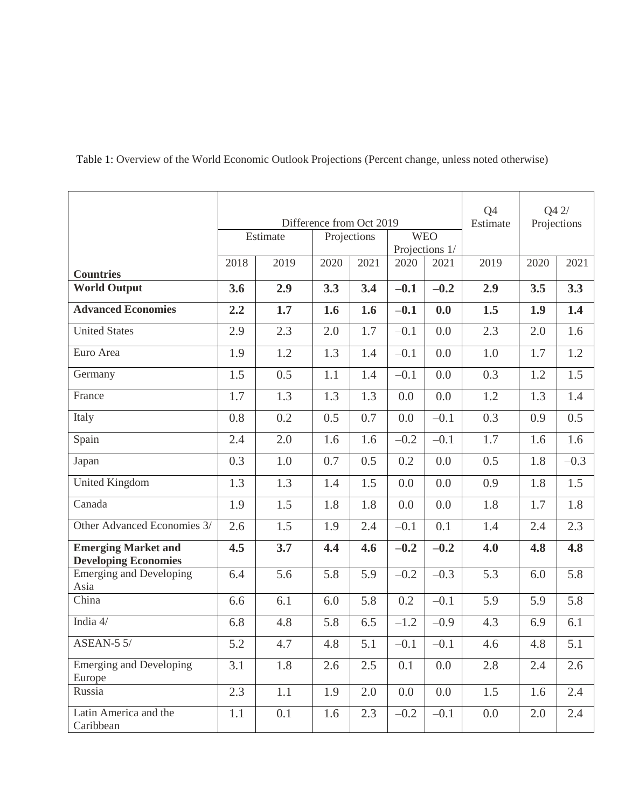Table 1: Overview of the World Economic Outlook Projections (Percent change, unless noted otherwise)

|                                                           | Difference from Oct 2019<br><b>WEO</b><br>Estimate<br>Projections |      |      |      |                |        | Q4<br>Estimate | Q42/<br>Projections |        |
|-----------------------------------------------------------|-------------------------------------------------------------------|------|------|------|----------------|--------|----------------|---------------------|--------|
|                                                           |                                                                   |      |      |      | Projections 1/ |        |                |                     |        |
| <b>Countries</b>                                          | 2018                                                              | 2019 | 2020 | 2021 | 2020           | 2021   | 2019           | 2020                | 2021   |
| <b>World Output</b>                                       | 3.6                                                               | 2.9  | 3.3  | 3.4  | $-0.1$         | $-0.2$ | 2.9            | 3.5                 | 3.3    |
| <b>Advanced Economies</b>                                 | 2.2                                                               | 1.7  | 1.6  | 1.6  | $-0.1$         | 0.0    | 1.5            | 1.9                 | 1.4    |
| <b>United States</b>                                      | 2.9                                                               | 2.3  | 2.0  | 1.7  | $-0.1$         | 0.0    | 2.3            | 2.0                 | 1.6    |
| Euro Area                                                 | 1.9                                                               | 1.2  | 1.3  | 1.4  | $-0.1$         | 0.0    | 1.0            | 1.7                 | 1.2    |
| Germany                                                   | 1.5                                                               | 0.5  | 1.1  | 1.4  | $-0.1$         | 0.0    | 0.3            | 1.2                 | 1.5    |
| France                                                    | 1.7                                                               | 1.3  | 1.3  | 1.3  | 0.0            | 0.0    | 1.2            | 1.3                 | 1.4    |
| Italy                                                     | 0.8                                                               | 0.2  | 0.5  | 0.7  | 0.0            | $-0.1$ | 0.3            | 0.9                 | 0.5    |
| Spain                                                     | 2.4                                                               | 2.0  | 1.6  | 1.6  | $-0.2$         | $-0.1$ | 1.7            | 1.6                 | 1.6    |
| Japan                                                     | 0.3                                                               | 1.0  | 0.7  | 0.5  | 0.2            | 0.0    | 0.5            | 1.8                 | $-0.3$ |
| <b>United Kingdom</b>                                     | 1.3                                                               | 1.3  | 1.4  | 1.5  | 0.0            | 0.0    | 0.9            | 1.8                 | 1.5    |
| Canada                                                    | 1.9                                                               | 1.5  | 1.8  | 1.8  | 0.0            | 0.0    | 1.8            | 1.7                 | 1.8    |
| Other Advanced Economies 3/                               | 2.6                                                               | 1.5  | 1.9  | 2.4  | $-0.1$         | 0.1    | 1.4            | 2.4                 | 2.3    |
| <b>Emerging Market and</b><br><b>Developing Economies</b> | 4.5                                                               | 3.7  | 4.4  | 4.6  | $-0.2$         | $-0.2$ | 4.0            | 4.8                 | 4.8    |
| <b>Emerging and Developing</b><br>Asia                    | 6.4                                                               | 5.6  | 5.8  | 5.9  | $-0.2$         | $-0.3$ | 5.3            | 6.0                 | 5.8    |
| China                                                     | 6.6                                                               | 6.1  | 6.0  | 5.8  | 0.2            | $-0.1$ | 5.9            | 5.9                 | 5.8    |
| India 4/                                                  | 6.8                                                               | 4.8  | 5.8  | 6.5  | $-1.2$         | $-0.9$ | 4.3            | 6.9                 | 6.1    |
| $\overline{\text{ASEAN-5}}$ 5/                            | 5.2                                                               | 4.7  | 4.8  | 5.1  | $-0.1$         | $-0.1$ | 4.6            | 4.8                 | 5.1    |
| <b>Emerging and Developing</b><br>Europe                  | 3.1                                                               | 1.8  | 2.6  | 2.5  | 0.1            | 0.0    | 2.8            | 2.4                 | 2.6    |
| Russia                                                    | 2.3                                                               | 1.1  | 1.9  | 2.0  | 0.0            | 0.0    | 1.5            | 1.6                 | 2.4    |
| Latin America and the<br>Caribbean                        | 1.1                                                               | 0.1  | 1.6  | 2.3  | $-0.2$         | $-0.1$ | 0.0            | 2.0                 | 2.4    |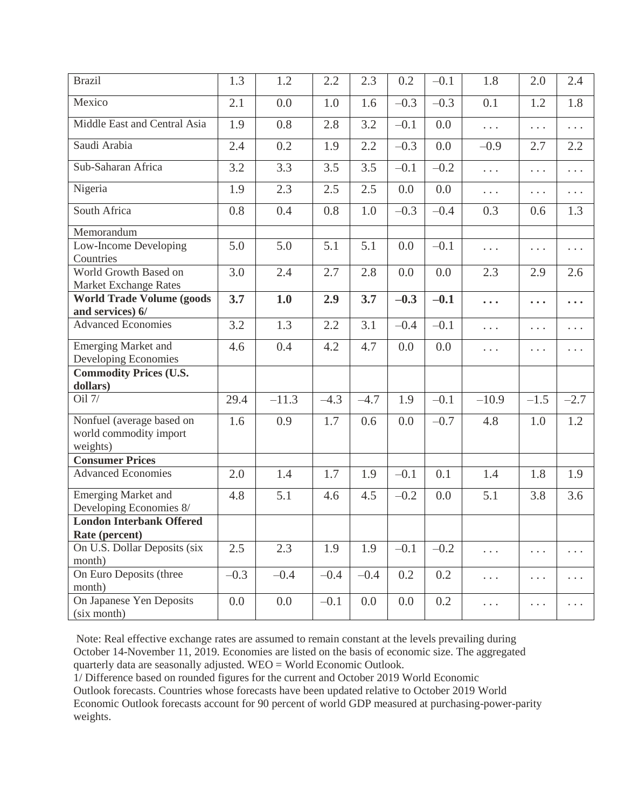| <b>Brazil</b>                                                   | 1.3    | 1.2     | 2.2    | 2.3    | 0.2    | $-0.1$ | 1.8                  | 2.0                                                | 2.4                     |
|-----------------------------------------------------------------|--------|---------|--------|--------|--------|--------|----------------------|----------------------------------------------------|-------------------------|
| Mexico                                                          | 2.1    | 0.0     | 1.0    | 1.6    | $-0.3$ | $-0.3$ | 0.1                  | 1.2                                                | 1.8                     |
| Middle East and Central Asia                                    | 1.9    | 0.8     | 2.8    | 3.2    | $-0.1$ | 0.0    | $\cdots$             | .                                                  | .                       |
| Saudi Arabia                                                    | 2.4    | 0.2     | 1.9    | 2.2    | $-0.3$ | 0.0    | $-0.9$               | 2.7                                                | 2.2                     |
| Sub-Saharan Africa                                              | 3.2    | 3.3     | 3.5    | 3.5    | $-0.1$ | $-0.2$ | $\cdots$             | $\cdots$                                           | .                       |
| Nigeria                                                         | 1.9    | 2.3     | 2.5    | 2.5    | 0.0    | 0.0    | $\cdots$             | .                                                  | $\cdots$                |
| South Africa                                                    | 0.8    | 0.4     | 0.8    | 1.0    | $-0.3$ | $-0.4$ | 0.3                  | 0.6                                                | 1.3                     |
| Memorandum                                                      |        |         |        |        |        |        |                      |                                                    |                         |
| Low-Income Developing<br>Countries                              | 5.0    | 5.0     | 5.1    | 5.1    | 0.0    | $-0.1$ | .                    | .                                                  | .                       |
| World Growth Based on<br>Market Exchange Rates                  | 3.0    | 2.4     | 2.7    | 2.8    | 0.0    | 0.0    | 2.3                  | 2.9                                                | 2.6                     |
| <b>World Trade Volume (goods</b>                                | 3.7    | 1.0     | 2.9    | 3.7    | $-0.3$ | $-0.1$ |                      |                                                    |                         |
| and services) 6/                                                |        |         |        |        |        |        | $\ddot{\phantom{a}}$ | $\ddot{\bullet}$ $\ddot{\bullet}$ $\ddot{\bullet}$ | $\bullet\bullet\bullet$ |
| <b>Advanced Economies</b>                                       | 3.2    | 1.3     | 2.2    | 3.1    | $-0.4$ | $-0.1$ | .                    | .                                                  | .                       |
| <b>Emerging Market and</b><br>Developing Economies              | 4.6    | 0.4     | 4.2    | 4.7    | 0.0    | 0.0    | .                    | .                                                  | $\cdots$                |
| <b>Commodity Prices (U.S.</b><br>dollars)                       |        |         |        |        |        |        |                      |                                                    |                         |
| Oil 7/                                                          | 29.4   | $-11.3$ | $-4.3$ | $-4.7$ | 1.9    | $-0.1$ | $-10.9$              | $-1.5$                                             | $-2.7$                  |
| Nonfuel (average based on<br>world commodity import<br>weights) | 1.6    | 0.9     | 1.7    | 0.6    | 0.0    | $-0.7$ | 4.8                  | 1.0                                                | 1.2                     |
| <b>Consumer Prices</b>                                          |        |         |        |        |        |        |                      |                                                    |                         |
| <b>Advanced Economies</b>                                       | 2.0    | 1.4     | 1.7    | 1.9    | $-0.1$ | 0.1    | 1.4                  | 1.8                                                | 1.9                     |
| <b>Emerging Market and</b><br>Developing Economies 8/           | 4.8    | 5.1     | 4.6    | 4.5    | $-0.2$ | 0.0    | 5.1                  | 3.8                                                | 3.6                     |
| <b>London Interbank Offered</b>                                 |        |         |        |        |        |        |                      |                                                    |                         |
| Rate (percent)                                                  |        |         |        |        |        |        |                      |                                                    |                         |
| On U.S. Dollar Deposits (six<br>month)                          | 2.5    | 2.3     | 1.9    | 1.9    | $-0.1$ | $-0.2$ | $\cdots$             | $\cdots$                                           | .                       |
| On Euro Deposits (three<br>month)                               | $-0.3$ | $-0.4$  | $-0.4$ | $-0.4$ | 0.2    | 0.2    | $\cdots$             | $\ldots$                                           | $\cdots$                |
| On Japanese Yen Deposits<br>(six month)                         | 0.0    | 0.0     | $-0.1$ | 0.0    | 0.0    | 0.2    | $\cdots$             | $\cdots$                                           | $\cdots$                |

Note: Real effective exchange rates are assumed to remain constant at the levels prevailing during October 14-November 11, 2019. Economies are listed on the basis of economic size. The aggregated quarterly data are seasonally adjusted. WEO = World Economic Outlook.

1/ Difference based on rounded figures for the current and October 2019 World Economic

Outlook forecasts. Countries whose forecasts have been updated relative to October 2019 World Economic Outlook forecasts account for 90 percent of world GDP measured at purchasing-power-parity weights.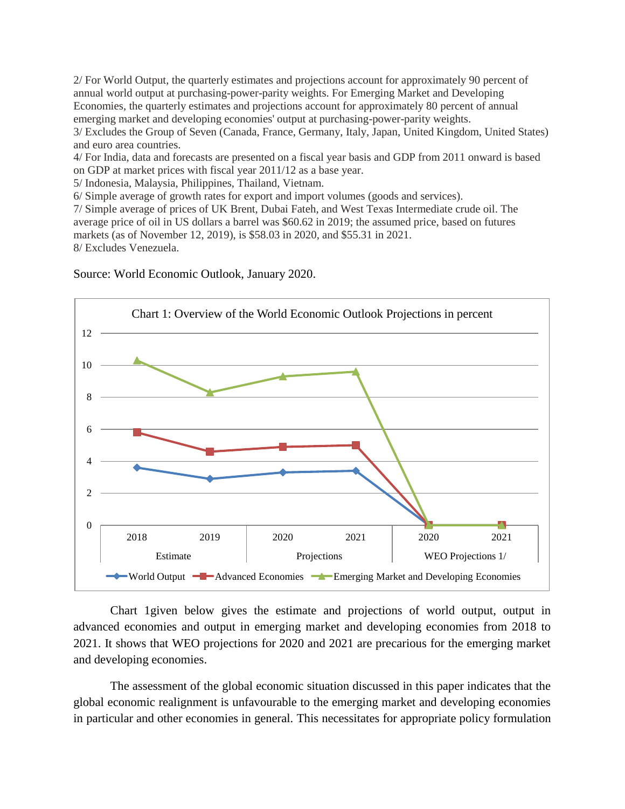2/ For World Output, the quarterly estimates and projections account for approximately 90 percent of annual world output at purchasing-power-parity weights. For Emerging Market and Developing Economies, the quarterly estimates and projections account for approximately 80 percent of annual emerging market and developing economies' output at purchasing-power-parity weights. 3/ Excludes the Group of Seven (Canada, France, Germany, Italy, Japan, United Kingdom, United States) and euro area countries.

4/ For India, data and forecasts are presented on a fiscal year basis and GDP from 2011 onward is based on GDP at market prices with fiscal year 2011/12 as a base year.

5/ Indonesia, Malaysia, Philippines, Thailand, Vietnam.

6/ Simple average of growth rates for export and import volumes (goods and services).

7/ Simple average of prices of UK Brent, Dubai Fateh, and West Texas Intermediate crude oil. The average price of oil in US dollars a barrel was \$60.62 in 2019; the assumed price, based on futures markets (as of November 12, 2019), is \$58.03 in 2020, and \$55.31 in 2021. 8/ Excludes Venezuela.



Source: World Economic Outlook, January 2020.

Chart 1given below gives the estimate and projections of world output, output in advanced economies and output in emerging market and developing economies from 2018 to 2021. It shows that WEO projections for 2020 and 2021 are precarious for the emerging market and developing economies.

The assessment of the global economic situation discussed in this paper indicates that the global economic realignment is unfavourable to the emerging market and developing economies in particular and other economies in general. This necessitates for appropriate policy formulation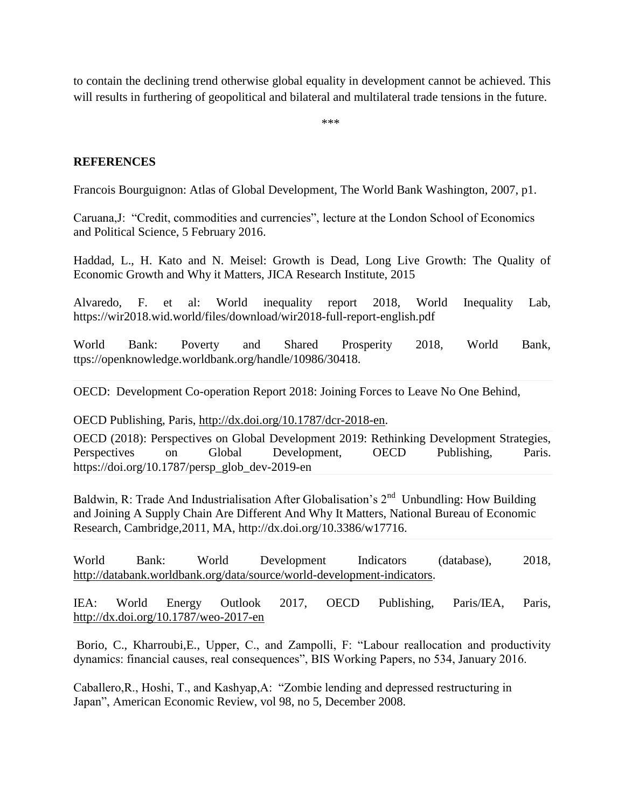to contain the declining trend otherwise global equality in development cannot be achieved. This will results in furthering of geopolitical and bilateral and multilateral trade tensions in the future.

\*\*\*

## **REFERENCES**

Francois Bourguignon: Atlas of Global Development, The World Bank Washington, 2007, p1.

Caruana,J: "Credit, commodities and currencies", lecture at the London School of Economics and Political Science, 5 February 2016.

Haddad, L., H. Kato and N. Meisel: Growth is Dead, Long Live Growth: The Quality of Economic Growth and Why it Matters, JICA Research Institute, 2015

Alvaredo, F. et al: World inequality report 2018, World Inequality Lab, https://wir2018.wid.world/files/download/wir2018-full-report-english.pdf

World Bank: Poverty and Shared Prosperity 2018, World Bank, ttps://openknowledge.worldbank.org/handle/10986/30418.

OECD: Development Co-operation Report 2018: Joining Forces to Leave No One Behind,

OECD Publishing, Paris, [http://dx.doi.org/10.1787/dcr-2018-en.](http://dx.doi.org/10.1787/dcr-2018-en)

OECD (2018): Perspectives on Global Development 2019: Rethinking Development Strategies, Perspectives on Global Development, OECD Publishing, Paris. https://doi.org/10.1787/persp\_glob\_dev-2019-en

Baldwin, R: Trade And Industrialisation After Globalisation's  $2<sup>nd</sup>$  Unbundling: How Building and Joining A Supply Chain Are Different And Why It Matters, National Bureau of Economic Research, Cambridge,2011, MA, http://dx.doi.org/10.3386/w17716.

World Bank: World Development Indicators (database), 2018, [http://databank.worldbank.org/data/source/world-development-indicators.](http://databank.worldbank.org/data/source/world-development-indicators)

IEA: World Energy Outlook 2017, OECD Publishing, Paris/IEA, Paris, <http://dx.doi.org/10.1787/weo-2017-en>

Borio, C., Kharroubi,E., Upper, C., and Zampolli, F: "Labour reallocation and productivity dynamics: financial causes, real consequences", BIS Working Papers, no 534, January 2016.

Caballero,R., Hoshi, T., and Kashyap,A: "Zombie lending and depressed restructuring in Japan", American Economic Review, vol 98, no 5, December 2008.